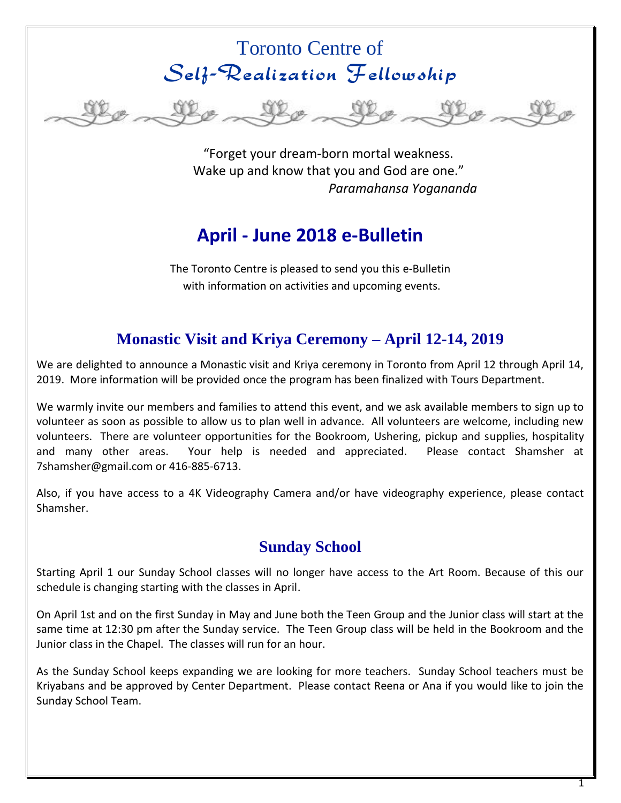# Toronto Centre of Self-Realization Fellowship



"Forget your dream-born mortal weakness. Wake up and know that you and God are one." *Paramahansa Yogananda*

# **April - June 2018 e-Bulletin**

The Toronto Centre is pleased to send you this e-Bulletin with information on activities and upcoming events.

## **Monastic Visit and Kriya Ceremony – April 12-14, 2019**

We are delighted to announce a Monastic visit and Kriya ceremony in Toronto from April 12 through April 14, 2019. More information will be provided once the program has been finalized with Tours Department.

We warmly invite our members and families to attend this event, and we ask available members to sign up to volunteer as soon as possible to allow us to plan well in advance. All volunteers are welcome, including new volunteers. There are volunteer opportunities for the Bookroom, Ushering, pickup and supplies, hospitality and many other areas. Your help is needed and appreciated. Please contact Shamsher at [7shamsher@gmail.com](mailto:7shamsher@gmail.com) o[r 416-885-6713.](tel:416-885-6713)

Also, if you have access to a 4K Videography Camera and/or have videography experience, please contact Shamsher.

# **Sunday School**

Starting April 1 our Sunday School classes will no longer have access to the Art Room. Because of this our schedule is changing starting with the classes in April.

On April 1st and on the first Sunday in May and June both the Teen Group and the Junior class will start at the same time at 12:30 pm after the Sunday service. The Teen Group class will be held in the Bookroom and the Junior class in the Chapel. The classes will run for an hour.

As the Sunday School keeps expanding we are looking for more teachers. Sunday School teachers must be Kriyabans and be approved by Center Department. Please contact Reena or Ana if you would like to join the Sunday School Team.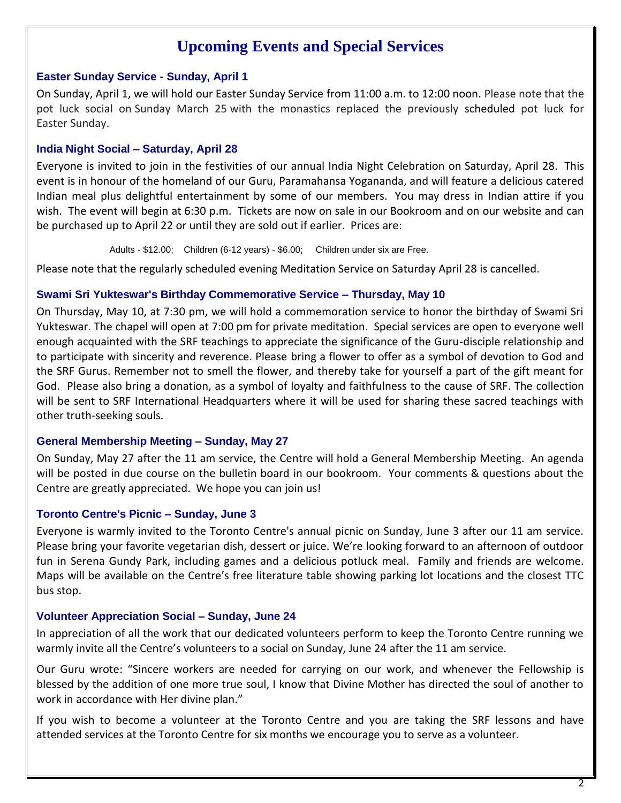# **Upcoming Events and Special Services**

### **Easter Sunday Service - Sunday, April 1**

On Sunday, April 1, we will hold our Easter Sunday Service from 11:00 a.m. to 12:00 noon. Please note that the pot luck social on Sunday March 25 with the monastics replaced the previously scheduled pot luck for Easter Sunday.

### **India Night Social – Saturday, April 28**

Everyone is invited to join in the festivities of our annual India Night Celebration on Saturday, April 28. This event is in honour of the homeland of our Guru, Paramahansa Yogananda, and will feature a delicious catered Indian meal plus delightful entertainment by some of our members. You may dress in Indian attire if you wish. The event will begin at 6:30 p.m. Tickets are now on sale in our Bookroom and on our website and can be purchased up to April 22 or until they are sold out if earlier. Prices are:

Adults - \$12.00; Children (6-12 years) - \$6.00; Children under six are Free.

Please note that the regularly scheduled evening Meditation Service on Saturday April 28 is cancelled.

### **Swami Sri Yukteswar's Birthday Commemorative Service – Thursday, May 10**

On Thursday, May 10, at 7:30 pm, we will hold a commemoration service to honor the birthday of Swami Sri Yukteswar. The chapel will open at 7:00 pm for private meditation. Special services are open to everyone well enough acquainted with the SRF teachings to appreciate the significance of the Guru-disciple relationship and to participate with sincerity and reverence. Please bring a flower to offer as a symbol of devotion to God and the SRF Gurus. Remember not to smell the flower, and thereby take for yourself a part of the gift meant for God. Please also bring a donation, as a symbol of loyalty and faithfulness to the cause of SRF. The collection will be sent to SRF International Headquarters where it will be used for sharing these sacred teachings with other truth-seeking souls.

### **General Membership Meeting – Sunday, May 27**

On Sunday, May 27 after the 11 am service, the Centre will hold a General Membership Meeting. An agenda will be posted in due course on the bulletin board in our bookroom. Your comments & questions about the Centre are greatly appreciated. We hope you can join us!

## **Toronto Centre's Picnic – Sunday, June 3**

Everyone is warmly invited to the Toronto Centre's annual picnic on Sunday, June 3 after our 11 am service. Please bring your favorite vegetarian dish, dessert or juice. We're looking forward to an afternoon of outdoor fun in Serena Gundy Park, including games and a delicious potluck meal. Family and friends are welcome. Maps will be available on the Centre's free literature table showing parking lot locations and the closest TTC bus stop.

## **Volunteer Appreciation Social – Sunday, June 24**

In appreciation of all the work that our dedicated volunteers perform to keep the Toronto Centre running we warmly invite all the Centre's volunteers to a social on Sunday, June 24 after the 11 am service.

Our Guru wrote: "Sincere workers are needed for carrying on our work, and whenever the Fellowship is blessed by the addition of one more true soul, I know that Divine Mother has directed the soul of another to work in accordance with Her divine plan."

If you wish to become a volunteer at the Toronto Centre and you are taking the SRF lessons and have attended services at the Toronto Centre for six months we encourage you to serve as a volunteer.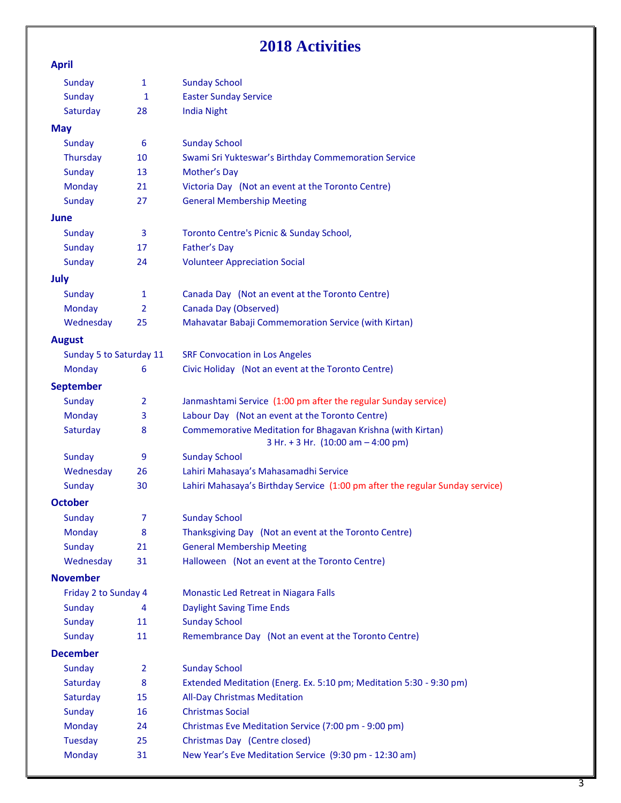# **2018 Activities**

### **April**

| Sunday                  | $\mathbf{1}$   | <b>Sunday School</b>                                                                              |
|-------------------------|----------------|---------------------------------------------------------------------------------------------------|
| Sunday                  | 1              | <b>Easter Sunday Service</b>                                                                      |
| Saturday                | 28             | <b>India Night</b>                                                                                |
| <b>May</b>              |                |                                                                                                   |
| Sunday                  | 6              | <b>Sunday School</b>                                                                              |
| Thursday                | 10             | Swami Sri Yukteswar's Birthday Commemoration Service                                              |
| Sunday                  | 13             | Mother's Day                                                                                      |
| <b>Monday</b>           | 21             | Victoria Day (Not an event at the Toronto Centre)                                                 |
| Sunday                  | 27             | <b>General Membership Meeting</b>                                                                 |
| June                    |                |                                                                                                   |
| Sunday                  | 3              | Toronto Centre's Picnic & Sunday School,                                                          |
| Sunday                  | 17             | <b>Father's Day</b>                                                                               |
| Sunday                  | 24             | <b>Volunteer Appreciation Social</b>                                                              |
| July                    |                |                                                                                                   |
| Sunday                  | $\mathbf{1}$   | Canada Day (Not an event at the Toronto Centre)                                                   |
| Monday                  | $\overline{2}$ | Canada Day (Observed)                                                                             |
| Wednesday               | 25             | Mahavatar Babaji Commemoration Service (with Kirtan)                                              |
| <b>August</b>           |                |                                                                                                   |
| Sunday 5 to Saturday 11 |                | <b>SRF Convocation in Los Angeles</b>                                                             |
| Monday                  | 6              | Civic Holiday (Not an event at the Toronto Centre)                                                |
| <b>September</b>        |                |                                                                                                   |
| Sunday                  | $\overline{2}$ | Janmashtami Service (1:00 pm after the regular Sunday service)                                    |
| Monday                  | 3              | Labour Day (Not an event at the Toronto Centre)                                                   |
| Saturday                | 8              | Commemorative Meditation for Bhagavan Krishna (with Kirtan)<br>3 Hr. + 3 Hr. (10:00 am - 4:00 pm) |
| Sunday                  | 9              | <b>Sunday School</b>                                                                              |
| Wednesday               | 26             | Lahiri Mahasaya's Mahasamadhi Service                                                             |
| Sunday                  | 30             | Lahiri Mahasaya's Birthday Service (1:00 pm after the regular Sunday service)                     |
| <b>October</b>          |                |                                                                                                   |
| <b>Sunday</b>           | 7              | <b>Sunday School</b>                                                                              |
| Monday                  | 8              | Thanksgiving Day (Not an event at the Toronto Centre)                                             |
| <b>Sunday</b>           | 21             | <b>General Membership Meeting</b>                                                                 |
| Wednesday               | 31             | Halloween (Not an event at the Toronto Centre)                                                    |
| <b>November</b>         |                |                                                                                                   |
| Friday 2 to Sunday 4    |                | Monastic Led Retreat in Niagara Falls                                                             |
| Sunday                  | 4              | <b>Daylight Saving Time Ends</b>                                                                  |
| Sunday                  | 11             | <b>Sunday School</b>                                                                              |
| Sunday                  | 11             | Remembrance Day (Not an event at the Toronto Centre)                                              |
| <b>December</b>         |                |                                                                                                   |
| Sunday                  | $\overline{2}$ | <b>Sunday School</b>                                                                              |
| Saturday                | 8              | Extended Meditation (Energ. Ex. 5:10 pm; Meditation 5:30 - 9:30 pm)                               |
| Saturday                | 15             | <b>All-Day Christmas Meditation</b>                                                               |
| <b>Sunday</b>           | 16             | <b>Christmas Social</b>                                                                           |
| <b>Monday</b>           | 24             | Christmas Eve Meditation Service (7:00 pm - 9:00 pm)                                              |
| Tuesday                 | 25             | Christmas Day (Centre closed)                                                                     |
| <b>Monday</b>           | 31             | New Year's Eve Meditation Service (9:30 pm - 12:30 am)                                            |
|                         |                |                                                                                                   |